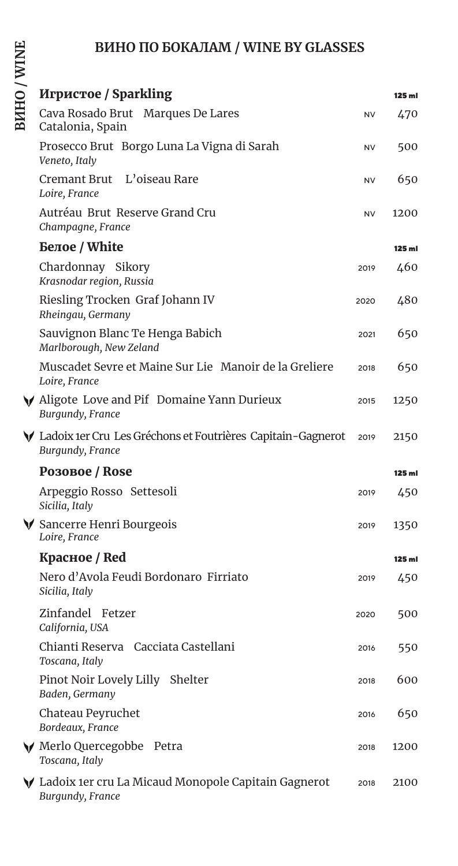# **ВИНО ПО БОКАЛАМ / WINE BY GLASSES**

|        | Игристое / Sparkling                                                              |           | $125$ ml |
|--------|-----------------------------------------------------------------------------------|-----------|----------|
| ------ | Cava Rosado Brut Marques De Lares<br>Catalonia, Spain                             | NV        | 470      |
|        | Prosecco Brut Borgo Luna La Vigna di Sarah<br>Veneto, Italy                       | NV        | 500      |
|        | Cremant Brut L'oiseau Rare<br>Loire, France                                       | <b>NV</b> | 650      |
|        | Autréau Brut Reserve Grand Cru<br>Champagne, France                               | <b>NV</b> | 1200     |
|        | Белое / White                                                                     |           | $125$ ml |
|        | Chardonnay Sikory<br>Krasnodar region, Russia                                     | 2019      | 460      |
|        | Riesling Trocken Graf Johann IV<br>Rheingau, Germany                              | 2020      | 480      |
|        | Sauvignon Blanc Te Henga Babich<br>Marlborough, New Zeland                        | 2021      | 650      |
|        | Muscadet Sevre et Maine Sur Lie Manoir de la Greliere<br>Loire, France            | 2018      | 650      |
|        | $\bigvee$ Aligote Love and Pif Domaine Yann Durieux<br>Burgundy, France           | 2015      | 1250     |
|        | ▼ Ladoix 1er Cru Les Gréchons et Foutrières Capitain-Gagnerot<br>Burgundy, France | 2019      | 2150     |
|        | <b>Розовое / Rose</b>                                                             |           | $125$ ml |
|        | Arpeggio Rosso Settesoli<br>Sicilia, Italy                                        | 2019      | 450      |
|        | $\forall$ Sancerre Henri Bourgeois<br>Loire, France                               | 2019      | 1350     |
|        | Красное / Red                                                                     |           | $125$ ml |
|        | Nero d'Avola Feudi Bordonaro Firriato<br>Sicilia, Italy                           | 2019      | 450      |
|        | Zinfandel Fetzer<br>California, USA                                               | 2020      | 500      |
|        | Chianti Reserva Cacciata Castellani<br>Toscana, Italy                             | 2016      | 550      |
|        | Pinot Noir Lovely Lilly Shelter<br>Baden, Germany                                 | 2018      | 600      |
|        | Chateau Peyruchet<br>Bordeaux, France                                             | 2016      | 650      |
|        | ◆ Merlo Quercegobbe Petra<br>Toscana, Italy                                       | 2018      | 1200     |
|        | $\bigvee$ Ladoix 1er cru La Micaud Monopole Capitain Gagnerot<br>Burgundy, France | 2018      | 2100     |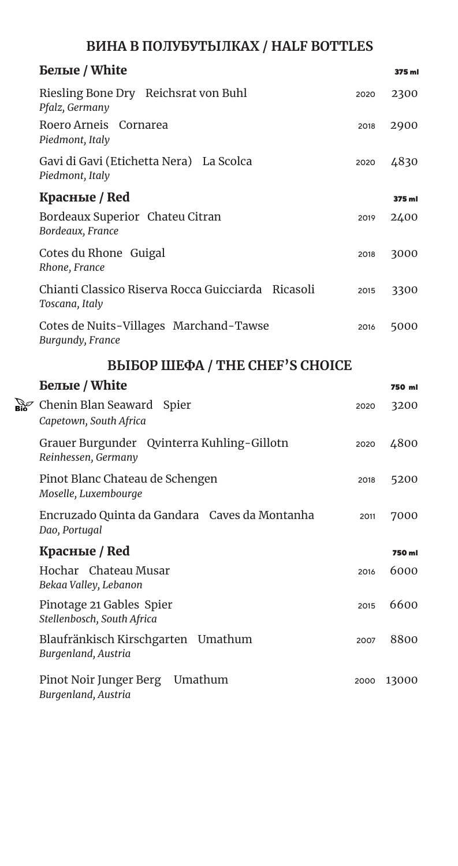## **ВИНА В ПОЛУБУТЫЛКАХ / HALF BOTTLES**

| <b>Белые</b> / White                                                 |      | 375 ml |
|----------------------------------------------------------------------|------|--------|
| Riesling Bone Dry Reichsrat von Buhl<br>Pfalz, Germany               | 2020 | 2300   |
| Roero Arneis Cornarea<br>Piedmont, Italy                             | 2018 | 2900   |
| Gavi di Gavi (Etichetta Nera) La Scolca<br>Piedmont, Italy           | 2020 | 4830   |
| Красные / Red                                                        |      | 375 ml |
| Bordeaux Superior Chateu Citran<br>Bordeaux, France                  | 2019 | 2400   |
| Cotes du Rhone Guigal<br>Rhone, France                               | 2018 | 3000   |
| Chianti Classico Riserva Rocca Guicciarda Ricasoli<br>Toscana, Italy | 2015 | 3300   |
| Cotes de Nuits-Villages Marchand-Tawse<br>Burgundy, France           | 2016 | 5000   |

## **ВЫБОР ШЕФА / THE CHEF'S CHOICE**

| <b>Белые</b> / White                                                     |      | 750 ml |
|--------------------------------------------------------------------------|------|--------|
| $\frac{S}{Bi\delta}$ Chenin Blan Seaward Spier<br>Capetown, South Africa | 2020 | 3200   |
| Grauer Burgunder Qvinterra Kuhling-Gillotn<br>Reinhessen, Germany        | 2020 | 4800   |
| Pinot Blanc Chateau de Schengen<br>Moselle, Luxembourge                  | 2018 | 5200   |
| Encruzado Quinta da Gandara Caves da Montanha<br>Dao, Portugal           | 2011 | 7000   |
| Красные / Red                                                            |      | 750 ml |
| Hochar Chateau Musar<br>Bekaa Valley, Lebanon                            | 2016 | 6000   |
| Pinotage 21 Gables Spier<br>Stellenbosch, South Africa                   | 2015 | 6600   |
| Blaufränkisch Kirschgarten Umathum<br>Burgenland, Austria                | 2007 | 8800   |
| Umathum<br>Pinot Noir Junger Berg<br>Burgenland, Austria                 | 2000 | 13000  |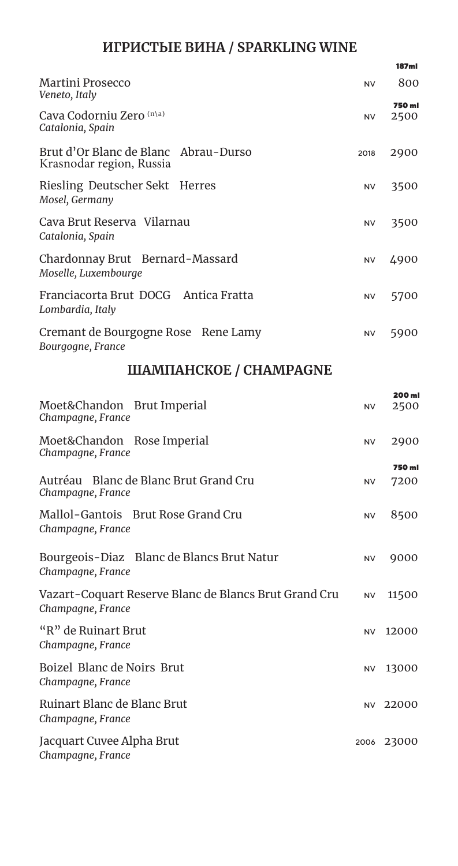#### **ИГРИСТЫЕ ВИНА / SPARKLING WINE**

|                                                                            |           | 187ml          |
|----------------------------------------------------------------------------|-----------|----------------|
| Martini Prosecco<br>Veneto, Italy                                          | <b>NV</b> | 800            |
| Cava Codorniu Zero (n\a)<br>Catalonia, Spain                               | <b>NV</b> | 750 ml<br>2500 |
| Brut d'Or Blanc de Blanc<br>Abrau-Durso<br>Krasnodar region, Russia        | 2018      | 2900           |
| Riesling Deutscher Sekt Herres<br>Mosel, Germany                           | NV        | 3500           |
| Cava Brut Reserva Vilarnau<br>Catalonia, Spain                             | <b>NV</b> | 3500           |
| Chardonnay Brut Bernard-Massard<br>Moselle, Luxembourge                    | <b>NV</b> | 4900           |
| Franciacorta Brut DOCG Antica Fratta<br>Lombardia, Italy                   | <b>NV</b> | 5700           |
| Cremant de Bourgogne Rose Rene Lamy<br>Bourgogne, France                   | <b>NV</b> | 5900           |
| <b>ШАМПАНСКОЕ / CHAMPAGNE</b>                                              |           |                |
| Moet&Chandon<br><b>Brut Imperial</b><br>Champagne, France                  | <b>NV</b> | 200 ml<br>2500 |
| Moet&Chandon Rose Imperial<br>Champagne, France                            | NV        | 2900           |
| Autréau Blanc de Blanc Brut Grand Cru<br>Champagne, France                 | <b>NV</b> | 750 ml<br>7200 |
| Mallol-Gantois Brut Rose Grand Cru<br>Champagne, France                    | <b>NV</b> | 8500           |
| Bourgeois-Diaz Blanc de Blancs Brut Natur<br>Champagne, France             | <b>NV</b> | 9000           |
| Vazart-Coquart Reserve Blanc de Blancs Brut Grand Cru<br>Champagne, France | <b>NV</b> | 11500          |

"R" de Ruinart Brut NV 12000 *Champagne, France* Boizel Blanc de Noirs Brut NV 13000 *Champagne, France* Ruinart Blanc de Blanc Brut NV 22000 *Champagne, France* Jacquart Cuvee Alpha Brut 2006 23000 *Champagne, France*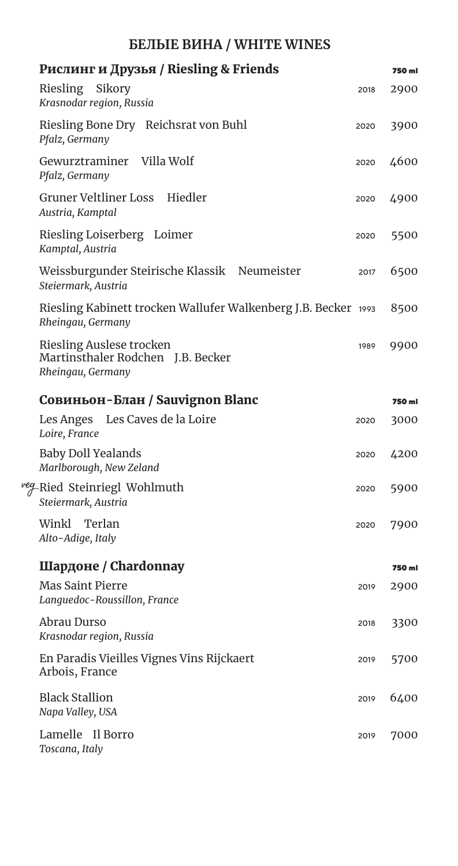## **БЕЛЫЕ ВИНА / WHITE WINES**

| Рислинг и Друзья / Riesling & Friends                                               |      | 750 ml |
|-------------------------------------------------------------------------------------|------|--------|
| Riesling Sikory<br>Krasnodar region, Russia                                         | 2018 | 2900   |
| Riesling Bone Dry Reichsrat von Buhl<br>Pfalz, Germany                              | 2020 | 3900   |
| Gewurztraminer Villa Wolf<br>Pfalz, Germany                                         | 2020 | 4600   |
| Gruner Veltliner Loss Hiedler<br>Austria, Kamptal                                   | 2020 | 4900   |
| Riesling Loiserberg Loimer<br>Kamptal, Austria                                      | 2020 | 5500   |
| Weissburgunder Steirische Klassik Neumeister<br>Steiermark, Austria                 | 2017 | 6500   |
| Riesling Kabinett trocken Wallufer Walkenberg J.B. Becker 1993<br>Rheingau, Germany |      | 8500   |
| Riesling Auslese trocken<br>Martinsthaler Rodchen J.B. Becker<br>Rheingau, Germany  | 1989 | 9900   |
| Совиньон-Блан / Sauvignon Blanc                                                     |      | 750 ml |
| Les Anges Les Caves de la Loire<br>Loire, France                                    | 2020 | 3000   |
| <b>Baby Doll Yealands</b><br>Marlborough, New Zeland                                | 2020 | 4200   |
| <sup>veg_</sup> Ried Steinriegl Wohlmuth<br>Steiermark, Austria                     | 2020 | 5900   |
| Winkl Terlan<br>Alto-Adige, Italy                                                   | 2020 | 7900   |
| Шардоне / Chardonnay                                                                |      | 750 ml |
| <b>Mas Saint Pierre</b><br>Lanquedoc-Roussillon, France                             | 2019 | 2900   |
| Abrau Durso<br>Krasnodar region, Russia                                             | 2018 | 3300   |
| En Paradis Vieilles Vignes Vins Rijckaert<br>Arbois, France                         | 2019 | 5700   |
| <b>Black Stallion</b><br>Napa Valley, USA                                           | 2019 | 6400   |
| Lamelle Il Borro<br>Toscana, Italy                                                  | 2019 | 7000   |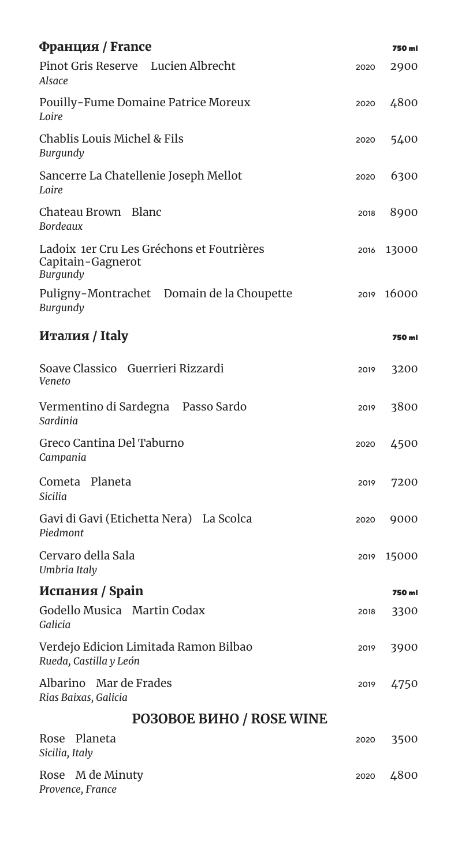| Франция / France                                                           |      | 750 ml |
|----------------------------------------------------------------------------|------|--------|
| Pinot Gris Reserve Lucien Albrecht<br>Alsace                               | 2020 | 2900   |
| Pouilly-Fume Domaine Patrice Moreux<br>Loire                               | 2020 | 4800   |
| Chablis Louis Michel & Fils<br>Burgundy                                    | 2020 | 5400   |
| Sancerre La Chatellenie Joseph Mellot<br>Loire                             | 2020 | 6300   |
| Chateau Brown Blanc<br>Bordeaux                                            | 2018 | 8900   |
| Ladoix 1er Cru Les Gréchons et Foutrières<br>Capitain-Gagnerot<br>Burgundy | 2016 | 13000  |
| Puligny-Montrachet Domain de la Choupette<br>Burgundy                      | 2019 | 16000  |
| Италия / Italy                                                             |      | 750 ml |
| Soave Classico Guerrieri Rizzardi<br>Veneto                                | 2019 | 3200   |
| Vermentino di Sardegna Passo Sardo<br>Sardinia                             | 2019 | 3800   |
| Greco Cantina Del Taburno<br>Campania                                      | 2020 | 4500   |
| Cometa Planeta<br><b>Sicilia</b>                                           | 2019 | 7200   |
| Gavi di Gavi (Etichetta Nera) La Scolca<br>Piedmont                        | 2020 | 9000   |
| Cervaro della Sala<br>Umbria Italy                                         | 2019 | 15000  |
| Испания / Spain                                                            |      | 750 ml |
| Godello Musica Martin Codax<br>Galicia                                     | 2018 | 3300   |
| Verdejo Edicion Limitada Ramon Bilbao<br>Rueda, Castilla y León            | 2019 | 3900   |
| Albarino Mar de Frades<br>Rias Baixas, Galicia                             | 2019 | 4750   |
| <b>PO3OBOE BIJHO / ROSE WINE</b>                                           |      |        |
| Planeta<br>Rose<br>Sicilia, Italy                                          | 2020 | 3500   |
| Rose M de Minuty<br>Provence, France                                       | 2020 | 4800   |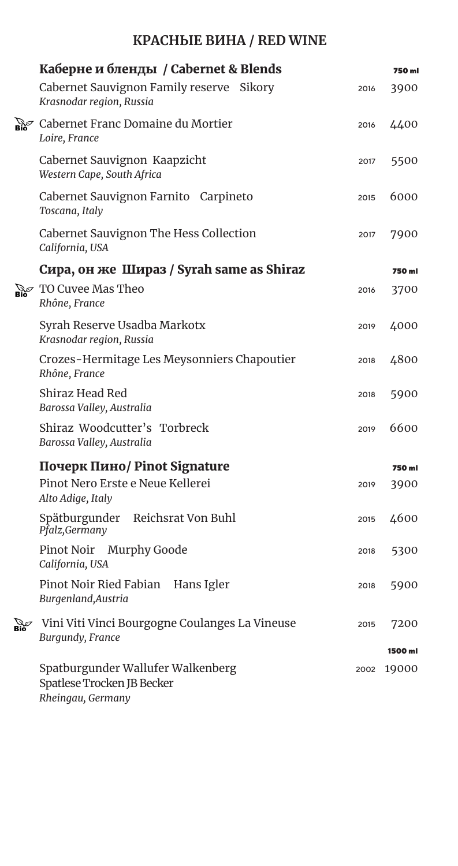# **КРАСНЫЕ ВИНА / RED WINE**

|                                          | Каберне и бленды / Cabernet & Blends                                                 |      | 750 ml  |
|------------------------------------------|--------------------------------------------------------------------------------------|------|---------|
|                                          | Cabernet Sauvignon Family reserve Sikory<br>Krasnodar region, Russia                 | 2016 | 3900    |
|                                          | $\mathbb{R}$ Cabernet Franc Domaine du Mortier<br>Loire, France                      | 2016 | 4400    |
|                                          | Cabernet Sauvignon Kaapzicht<br>Western Cape, South Africa                           | 2017 | 5500    |
|                                          | Cabernet Sauvignon Farnito Carpineto<br>Toscana, Italy                               | 2015 | 6000    |
|                                          | Cabernet Sauvignon The Hess Collection<br>California, USA                            | 2017 | 7900    |
|                                          | Сира, он же Шираз / Syrah same as Shiraz                                             |      | 750 ml  |
|                                          | $\mathbb{R}$ TO Cuvee Mas Theo<br>Rhône, France                                      | 2016 | 3700    |
|                                          | Syrah Reserve Usadba Markotx<br>Krasnodar region, Russia                             | 2019 | 4000    |
|                                          | Crozes-Hermitage Les Meysonniers Chapoutier<br>Rhône, France                         | 2018 | 4800    |
|                                          | Shiraz Head Red<br>Barossa Valley, Australia                                         | 2018 | 5900    |
|                                          | Shiraz Woodcutter's Torbreck<br>Barossa Valley, Australia                            | 2019 | 6600    |
|                                          | Почерк Пино/ Pinot Signature                                                         |      | 750 ml  |
|                                          | Pinot Nero Erste e Neue Kellerei<br>Alto Adige, Italy                                | 2019 | 3900    |
|                                          | Spätburgunder Reichsrat Von Buhl<br>Pfalz, Germany                                   | 2015 | 4600    |
|                                          | Pinot Noir Murphy Goode<br>California, USA                                           | 2018 | 5300    |
|                                          | Pinot Noir Ried Fabian Hans Igler<br>Burgenland, Austria                             | 2018 | 5900    |
| $\mathbf{B}_{\mathbf{10}}^{\mathbf{50}}$ | Vini Viti Vinci Bourgogne Coulanges La Vineuse<br>Burgundy, France                   | 2015 | 7200    |
|                                          |                                                                                      |      | 1500 ml |
|                                          | Spatburgunder Wallufer Walkenberg<br>Spatlese Trocken JB Becker<br>Rheingau, Germany | 2002 | 19000   |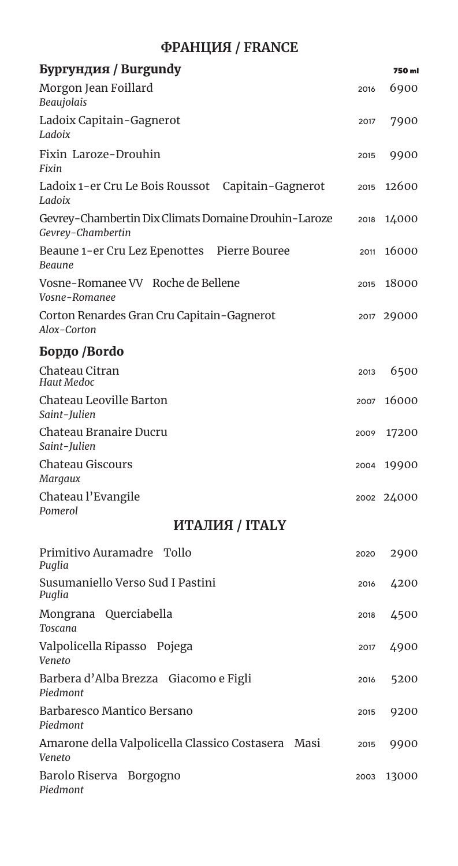## **ФРАНЦИЯ / FRANCE**

| Бургундия / Burgundy                                                      |      | 750 ml     |
|---------------------------------------------------------------------------|------|------------|
| Morgon Jean Foillard<br>Beaujolais                                        | 2016 | 6900       |
| Ladoix Capitain-Gagnerot<br>Ladoix                                        | 2017 | 7900       |
| Fixin Laroze-Drouhin<br>Fixin                                             | 2015 | 9900       |
| Ladoix 1-er Cru Le Bois Roussot Capitain-Gagnerot<br>Ladoix               | 2015 | 12600      |
| Gevrey-Chambertin Dix Climats Domaine Drouhin-Laroze<br>Gevrey-Chambertin | 2018 | 14000      |
| Beaune 1-er Cru Lez Epenottes Pierre Bouree<br>Beaune                     | 2011 | 16000      |
| Vosne-Romanee VV Roche de Bellene<br>Vosne-Romanee                        | 2015 | 18000      |
| Corton Renardes Gran Cru Capitain-Gagnerot<br>Alox-Corton                 |      | 2017 29000 |
| Бордо /Bordo                                                              |      |            |
| Chateau Citran<br>Haut Medoc                                              | 2013 | 6500       |
| Chateau Leoville Barton<br>Saint-Julien                                   | 2007 | 16000      |
| Chateau Branaire Ducru<br>Saint-Julien                                    | 2009 | 17200      |
| <b>Chateau Giscours</b><br>Margaux                                        | 2004 | 19900      |
| Chateau l'Evangile<br>Pomerol                                             |      | 2002 24000 |
| <b>ИТАЛИЯ / ITALY</b>                                                     |      |            |
| Primitivo Auramadre Tollo<br>Puglia                                       | 2020 | 2900       |
| Susumaniello Verso Sud I Pastini<br>Puglia                                | 2016 | 4200       |
| Mongrana Querciabella<br><b>Toscana</b>                                   | 2018 | 4500       |
| Valpolicella Ripasso Pojega<br>Veneto                                     | 2017 | 4900       |
| Barbera d'Alba Brezza Giacomo e Figli<br>Piedmont                         | 2016 | 5200       |
| Barbaresco Mantico Bersano<br>Piedmont                                    | 2015 | 9200       |
| Amarone della Valpolicella Classico Costasera Masi<br>Veneto              | 2015 | 9900       |
| Barolo Riserva Borgogno<br>Piedmont                                       | 2003 | 13000      |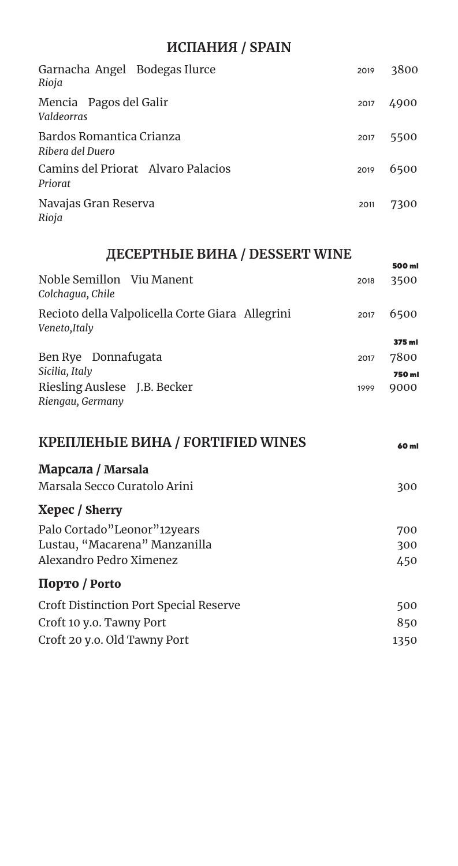#### ИСПАНИЯ / SPAIN

| Garnacha Angel Bodegas Ilurce<br>Rioja        | 2019 | 3800 |
|-----------------------------------------------|------|------|
| Mencia Pagos del Galir<br>Valdeorras          | 2017 | 4900 |
| Bardos Romantica Crianza<br>Ribera del Duero  | 2017 | 5500 |
| Camins del Priorat Alvaro Palacios<br>Priorat | 2019 | 6500 |
| Navajas Gran Reserva<br>Rioja                 | 2011 | 7300 |

# ДЕСЕРТНЫЕ ВИНА / DESSERT WINE

|                                                                   |      | 500 ml |
|-------------------------------------------------------------------|------|--------|
| Noble Semillon Viu Manent<br>Colchagua, Chile                     | 2018 | 3500   |
| Recioto della Valpolicella Corte Giara Allegrini<br>Veneto, Italy | 2017 | 6500   |
|                                                                   |      | 375 ml |
| Ben Rye Donnafugata                                               | 2017 | 7800   |
| Sicilia, Italy                                                    |      | 750 ml |
| Riesling Auslese J.B. Becker<br>Riengau, Germany                  | 1999 | 9000   |
|                                                                   |      |        |

| 60 ml |
|-------|
|       |
| 300   |
|       |
| 700   |
| 300   |
| 450   |
|       |
| 500   |
| 850   |
| 1350  |
|       |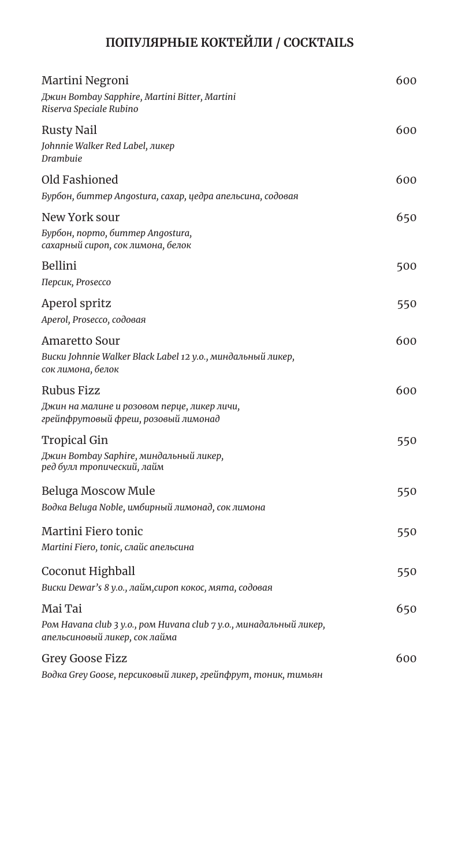# **ПОПУЛЯРНЫЕ КОКТЕЙЛИ / COCKTAILS**

| Martini Negroni<br>Джин Bombay Sapphire, Martini Bitter, Martini<br>Riserva Speciale Rubino                    | 600 |
|----------------------------------------------------------------------------------------------------------------|-----|
| Rusty Nail<br>Johnnie Walker Red Label, ликер<br>Drambuie                                                      | 600 |
| Old Fashioned                                                                                                  | 600 |
| Бурбон, биттер Angostura, сахар, цедра апельсина, содовая                                                      |     |
| New York sour                                                                                                  | 650 |
| Бурбон, порто, биттер Angostura,<br>сахарный сироп, сок лимона, белок                                          |     |
| Bellini                                                                                                        | 500 |
| Персик, Prosecco                                                                                               |     |
| Aperol spritz                                                                                                  | 550 |
| Aperol, Prosecco, содовая                                                                                      |     |
| Amaretto Sour<br>Виски Johnnie Walker Black Label 12 у.о., миндальный ликер,<br>сок лимона, белок              | 600 |
| Rubus Fizz<br>Джин на малине и розовом перце, ликер личи,<br>грейпфрутовый фреш, розовый лимонад               | 600 |
| <b>Tropical Gin</b><br>Джин Bombay Saphire, миндальный ликер,<br>ред булл тропический, лайм                    | 550 |
| Beluga Moscow Mule<br>Водка Beluga Noble, имбирный лимонад, сок лимона                                         | 550 |
| Martini Fiero tonic<br>Martini Fiero, tonic, слайс апельсина                                                   | 550 |
| Coconut Highball                                                                                               | 550 |
| Виски Dewar's 8 у.о., лайм, сироп кокос, мята, содовая                                                         |     |
| Mai Tai<br>Ром Havana club 3 y.o., ром Huvana club 7 y.o., минадальный ликер,<br>апельсиновый ликер, сок лайма | 650 |
| Grey Goose Fizz<br>Водка Grey Goose, персиковый ликер, грейпфрут, тоник, тимьян                                | 600 |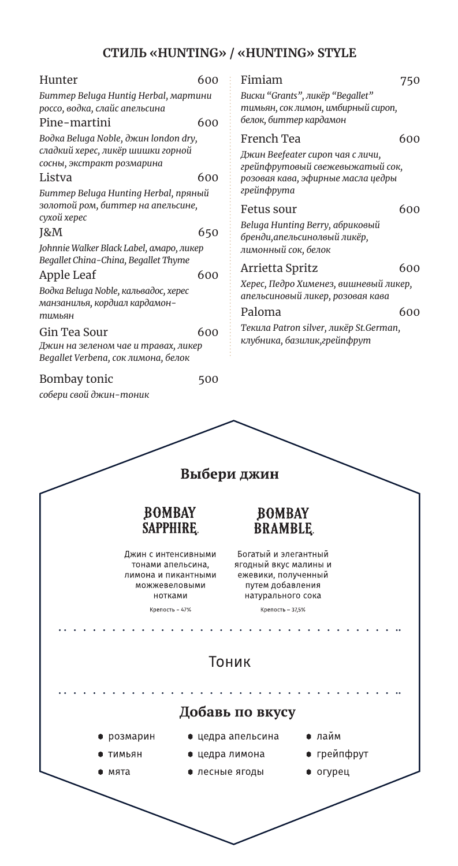## **СТИЛЬ «HUNTING» / «HUNTING» STYLE**

| Hunter                                                                                                                                                                                                                                                                                                                                                                             | 600                                                                                         | Fimiam                                                                                                        |                                                                                                                                                                                                                        | 750               |
|------------------------------------------------------------------------------------------------------------------------------------------------------------------------------------------------------------------------------------------------------------------------------------------------------------------------------------------------------------------------------------|---------------------------------------------------------------------------------------------|---------------------------------------------------------------------------------------------------------------|------------------------------------------------------------------------------------------------------------------------------------------------------------------------------------------------------------------------|-------------------|
| Биттер Beluga Huntig Herbal, мартини<br>россо, водка, слайс апельсина<br>Pine-martini                                                                                                                                                                                                                                                                                              | 600                                                                                         |                                                                                                               | Виски "Grants", ликёр "Begallet"<br>тимьян, сок лимон, имбирный сироп,<br>белок, биттер кардамон                                                                                                                       |                   |
| Водка Beluga Noble, джин london dry,                                                                                                                                                                                                                                                                                                                                               |                                                                                             | French Tea                                                                                                    |                                                                                                                                                                                                                        | 600               |
| сладкий херес, ликёр шишки горной<br>сосны, экстракт розмарина<br>Listva                                                                                                                                                                                                                                                                                                           | 600                                                                                         |                                                                                                               | Джин Beefeater сироп чая с личи,<br>грейпфрутовый свежевыжатый сок,<br>розовая кава, эфирные масла цедры                                                                                                               |                   |
| Биттер Beluga Hunting Herbal, пряный<br>золотой ром, биттер на апельсине,<br>сухой херес<br>J&M<br>Johnnie Walker Black Label, амаро, ликер<br>Begallet China-China, Begallet Thyme<br>Apple Leaf<br>Водка Beluga Noble, кальвадос, херес<br>манзанилья, кордиал кардамон-<br>тимьян<br>Gin Tea Sour<br>Джин на зеленом чае и травах, ликер<br>Begallet Verbena, сок лимона, белок | 650<br>600<br>600                                                                           | грейпфрута<br>Fetus sour<br>лимонный сок, белок<br>Arrietta Spritz<br>Paloma                                  | Beluga Hunting Berry, абриковый<br>бренди, апельсинолвый ликёр,<br>Херес, Педро Хименез, вишневый ликер,<br>апельсиновый ликер, розовая кава<br>Текила Patron silver, ликёр St.German,<br>клубника, базилик, грейпфрут | 600<br>600<br>600 |
|                                                                                                                                                                                                                                                                                                                                                                                    |                                                                                             |                                                                                                               |                                                                                                                                                                                                                        |                   |
|                                                                                                                                                                                                                                                                                                                                                                                    | 500                                                                                         |                                                                                                               |                                                                                                                                                                                                                        |                   |
|                                                                                                                                                                                                                                                                                                                                                                                    |                                                                                             | Выбери джин                                                                                                   |                                                                                                                                                                                                                        |                   |
| Bombay tonic<br>собери свой джин-тоник                                                                                                                                                                                                                                                                                                                                             | <b>BOMBAY</b><br><b>SAPPHIRE</b>                                                            | <b>BOMBAY</b><br><b>BRAMBLE</b>                                                                               |                                                                                                                                                                                                                        |                   |
|                                                                                                                                                                                                                                                                                                                                                                                    | Джин с интенсивными<br>тонами апельсина,<br>лимона и пикантными<br>можжевеловыми<br>нотками | Богатыи и элегантныи<br>ягодный вкус малины и<br>ежевики, полученный<br>путем добавления<br>натурального сока |                                                                                                                                                                                                                        |                   |
|                                                                                                                                                                                                                                                                                                                                                                                    | Крепость - 47%                                                                              | Крепость - 37,5%                                                                                              |                                                                                                                                                                                                                        |                   |
|                                                                                                                                                                                                                                                                                                                                                                                    |                                                                                             |                                                                                                               |                                                                                                                                                                                                                        |                   |
|                                                                                                                                                                                                                                                                                                                                                                                    |                                                                                             | Тоник                                                                                                         |                                                                                                                                                                                                                        |                   |
|                                                                                                                                                                                                                                                                                                                                                                                    |                                                                                             |                                                                                                               |                                                                                                                                                                                                                        |                   |
|                                                                                                                                                                                                                                                                                                                                                                                    |                                                                                             | Добавь по вкусу                                                                                               |                                                                                                                                                                                                                        |                   |
| розмарин                                                                                                                                                                                                                                                                                                                                                                           |                                                                                             | ● цедра апельсина                                                                                             | лайм                                                                                                                                                                                                                   |                   |
| ТИМЬЯН                                                                                                                                                                                                                                                                                                                                                                             | ● цедра лимона                                                                              |                                                                                                               | ● грейпфрут                                                                                                                                                                                                            |                   |

╱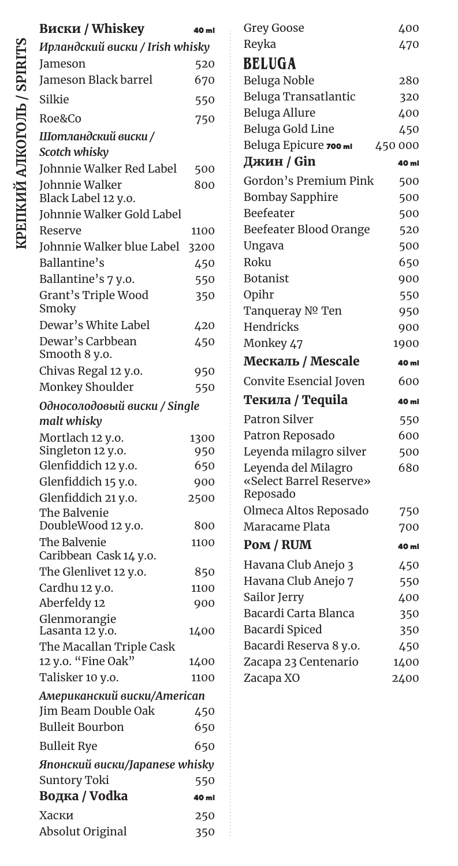| <b>Виски / Whiskey</b>                      | 40 ml |
|---------------------------------------------|-------|
| Ирландский виски / Irish whisky             |       |
| Jameson                                     | 520   |
| Jameson Black barrel                        | 670   |
| Silkie                                      | 550   |
| Roe&Co                                      | 750   |
| Шотландский виски /                         |       |
| Scotch whisky                               |       |
| Johnnie Walker Red Label                    | 500   |
| Johnnie Walker<br>Black Label 12 y.o.       | 800   |
| Johnnie Walker Gold Label                   |       |
| Reserve                                     | 1100  |
| Johnnie Walker blue Label                   | 3200  |
| Ballantine's                                | 450   |
| Ballantine's 7 y.o.                         | 550   |
| Grant's Triple Wood<br>Smoky                | 350   |
| Dewar's White Label                         | 420   |
| Dewar's Carbbean<br>Smooth 8 y.o.           | 450   |
| Chivas Regal 12 y.o.                        | 950   |
| Monkey Shoulder                             | 550   |
| Односолодовый виски / Single<br>malt whisky |       |
| Mortlach 12 y.o.                            | 1300  |
| Singleton 12 y.o.                           | 950   |
| Glenfiddich 12 y.o.                         | 650   |
| Glenfiddich 15 y.o.                         | 900   |
| Glenfiddich 21 y.o.                         | 2500  |
| The Balvenie<br>DoubleWood 12 y.o.          | 800   |
| The Balvenie                                | 1100  |
| Caribbean Cask 14 y.o.                      |       |
| The Glenlivet 12 y.o.                       | 850   |
| Cardhu 12 y.o.                              | 1100  |
| Aberfeldy 12                                | 900   |
| Glenmorangie<br>Lasanta 12 y.o.             | 1400  |
| The Macallan Triple Cask                    |       |
| 12 y.o. "Fine Oak"                          | 1400  |
| Talisker 10 y.o.                            | 1100  |
| Американский виски/American                 |       |
| Jim Beam Double Oak                         | 450   |
| <b>Bulleit Bourbon</b>                      | 650   |
| <b>Bulleit Rye</b>                          | 650   |
| Японский виски/Japanese whisky              |       |
| Suntory Toki                                | 550   |
| Водка / Vodka                               | 40 ml |
| Хаски                                       | 250   |
| Absolut Original                            | 350   |

| <b>Grey Goose</b>                 | 400          |
|-----------------------------------|--------------|
| Reyka                             | 470          |
| <b>BELUGA</b>                     |              |
| Beluga Noble                      | 280          |
| Beluga Transatlantic              | 320          |
| Beluga Allure                     | 400          |
| Beluga Gold Line                  | 450          |
| Beluga Epicure 700 ml             | 450 000      |
| Джин / Gin                        | 40 ml        |
| Gordon's Premium Pink             | 500          |
| <b>Bombay Sapphire</b>            | 500          |
| Beefeater                         | 500          |
| Beefeater Blood Orange            | 520          |
| Ungava                            | 500          |
| Roku                              | 650          |
| <b>Botanist</b>                   | 900          |
| Opihr                             | 550          |
| Tanqueray Nº Ten                  | 950          |
| Hendricks                         | 900          |
| Monkey 47                         | 1900         |
|                                   |              |
| Мескаль / Mescale                 | 40 ml        |
| Convite Esencial Joven            | 600          |
| Текила / Tequila                  | 40 ml        |
| <b>Patron Silver</b>              | 550          |
| Patron Reposado                   | 600          |
| Leyenda milagro silver            | 500          |
| Leyenda del Milagro               | 680          |
| «Select Barrel Reserve»           |              |
| Reposado                          |              |
| Olmeca Altos Reposado             | 750          |
| Maracame Plata                    | 700          |
| Pom / RUM                         | 40 ml        |
| Havana Club Anejo 3               | 450          |
| Havana Club Anejo 7               | 550          |
| Sailor Jerry                      | 400          |
| Bacardi Carta Blanca              | 350          |
| Bacardi Spiced                    | 350          |
| Bacardi Reserva 8 y.o.            | 450          |
| Zacapa 23 Centenario<br>Zacapa XO | 1400<br>2400 |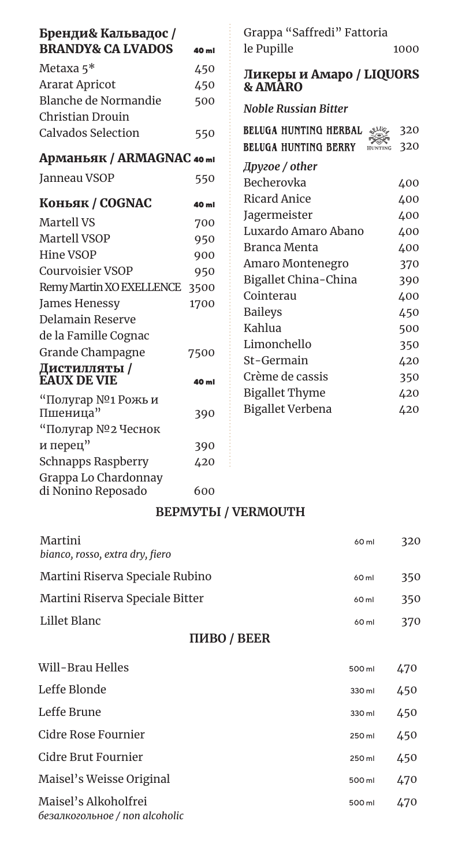| Бренди& Кальвадос /<br><b>BRANDY&amp; CA LVADOS</b>  | 40 ml | Grappa "Saffredi" Fattoria<br>le Pupille                                        | 1000       |
|------------------------------------------------------|-------|---------------------------------------------------------------------------------|------------|
| Metaxa $5^*$                                         | 450   | Ликеры и Амаро / LIQUORS                                                        |            |
| <b>Ararat Apricot</b>                                | 450   | <b>&amp; AMĀRO</b>                                                              |            |
| Blanche de Normandie<br>Christian Drouin             | 500   | <b>Noble Russian Bitter</b>                                                     |            |
| <b>Calvados Selection</b>                            | 550   | BELUGA HUNTING HERBAL<br>SILO,<br><b>BELUGA HUNTING BERRY</b><br><b>HUNTING</b> | 320<br>320 |
| Арманьяк / ARMAGNAC 40 ml                            |       | Другое / other                                                                  |            |
| Janneau VSOP                                         | 550   | Becherovka                                                                      | 400        |
| Коньяк / COGNAC                                      | 40 ml | <b>Ricard Anice</b>                                                             | 400        |
| <b>Martell VS</b>                                    | 700   | Jagermeister                                                                    | 400        |
| Martell VSOP                                         | 950   | Luxardo Amaro Abano                                                             | 400        |
| Hine VSOP                                            | 900   | <b>Branca Menta</b>                                                             | 400        |
| <b>Courvoisier VSOP</b>                              | 950   | Amaro Montenegro                                                                | 370        |
| Remy Martin XO EXELLENCE                             | 3500  | Bigallet China-China                                                            | 390        |
| James Henessy                                        | 1700  | Cointerau                                                                       | 400        |
| Delamain Reserve                                     |       | <b>Baileys</b>                                                                  | 450        |
| de la Famille Cognac                                 |       | Kahlua                                                                          | 500        |
| Grande Champagne                                     | 7500  | Limonchello                                                                     | 350        |
| Дистилляты /                                         |       | St-Germain                                                                      | 420        |
| <b>EAUX DE VIE</b>                                   | 40 ml | Crème de cassis                                                                 | 350        |
| "Полугар №1 Рожь и<br>Пшеница"<br>"Полугар №2 Чеснок | 390   | <b>Bigallet Thyme</b><br><b>Bigallet Verbena</b>                                | 420<br>420 |
| и перец"                                             | 390   |                                                                                 |            |
| <b>Schnapps Raspberry</b>                            | 420   |                                                                                 |            |
| Grappa Lo Chardonnay<br>di Nonino Reposado           | 600   |                                                                                 |            |

#### **BEPMYTH / VERMOUTH**

| Martini<br>bianco, rosso, extra dry, fiero             | 60 ml  | 320 |
|--------------------------------------------------------|--------|-----|
| Martini Riserva Speciale Rubino                        | 60 ml  | 350 |
| Martini Riserva Speciale Bitter                        | 60 ml  | 350 |
| Lillet Blanc                                           | 60 ml  | 370 |
| <b>ПИВО / BEER</b>                                     |        |     |
| Will-Brau Helles                                       | 500 ml | 470 |
| Leffe Blonde                                           | 330 ml | 450 |
| Leffe Brune                                            | 330 ml | 450 |
| Cidre Rose Fournier                                    | 250 ml | 450 |
| Cidre Brut Fournier                                    | 250 ml | 450 |
| Maisel's Weisse Original                               | 500 ml | 470 |
| Maisel's Alkoholfrei<br>безалкогольное / non alcoholic | 500 ml | 470 |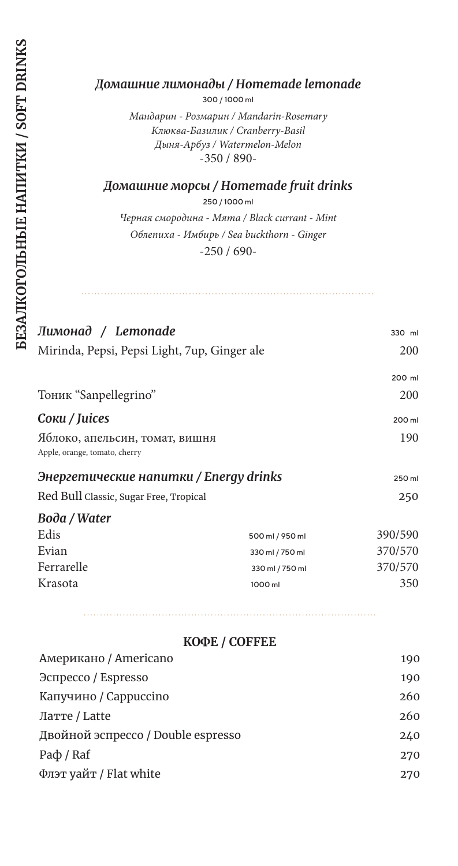#### *Домашние лимонады / Homemade lemonade*

300 / 1000 ml

*Мандарин - Розмарин / Mandarin-Rosemary Клюква-Базилик / Cranberry-Basil Дыня-Арбуз / Watermelon-Melon* -350 / 890-

*Домашние морсы / Homemade fruit drinks*

250 / 1000 ml

*Черная смородина - Мята / Black currant - Mint Облепиха - Имбирь / Sea buckthorn - Ginger* -250 / 690-

| Лимонад / Lemonade                                              |                 | 330 ml     |
|-----------------------------------------------------------------|-----------------|------------|
| Mirinda, Pepsi, Pepsi Light, 7up, Ginger ale                    |                 | <b>200</b> |
|                                                                 |                 | 200 ml     |
| Тоник "Sanpellegrino"                                           |                 | 200        |
| Coku / Juices                                                   |                 | 200 ml     |
| Яблоко, апельсин, томат, вишня<br>Apple, orange, tomato, cherry |                 | 190        |
| Энергетические напитки / Energy drinks                          |                 | 250 ml     |
| Red Bull Classic, Sugar Free, Tropical                          |                 | 250        |
| Boda / Water                                                    |                 |            |
| Edis                                                            | 500 ml / 950 ml | 390/590    |
| Evian                                                           | 330 ml / 750 ml | 370/570    |
| Ferrarelle                                                      | 330 ml / 750 ml | 370/570    |
| Krasota                                                         | 1000 ml         | 350        |
|                                                                 |                 |            |

|  | КОФЕ / COFFEE |
|--|---------------|
|--|---------------|

| 190 |
|-----|
| 190 |
| 260 |
| 260 |
| 240 |
| 270 |
| 270 |
|     |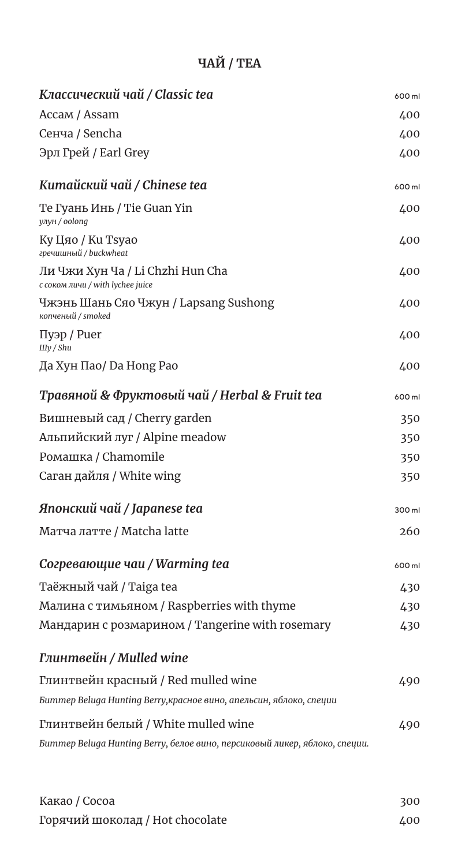# **ЧАЙ / TEA**

| Классический чай / Classic tea                                             | 600 ml |
|----------------------------------------------------------------------------|--------|
| Accaм / Assam                                                              | 400    |
| Сенча / Sencha                                                             | 400    |
| Эрл Грей / Earl Grey                                                       | 400    |
| Китайский чай / Chinese tea                                                | 600 ml |
| Те Гуань Инь / Tie Guan Yin<br>улун / oolong                               | 400    |
| Ку Цяо / Ku Tsyao<br>гречишный / buckwheat                                 | 400    |
| Ли Чжи Хун Ча / Li Chzhi Hun Cha<br>с соком личи / with lychee juice       | 400    |
| Чжэнь Шань Сяо Чжун / Lapsang Sushong<br>копченый / smoked                 | 400    |
| Пуэр / Puer<br>IIIy / Shu                                                  | 400    |
| Да Хун Пао/ Da Hong Pao                                                    | 400    |
| Травяной & Фруктовый чай / Herbal & Fruit tea                              | 600 ml |
| Вишневый сад / Cherry garden                                               | 350    |
| Альпийский луг / Alpine meadow                                             | 350    |
| Ромашка / Chamomile                                                        | 350    |
| Саган дайля / White wing                                                   | 350    |
| Японский чай / Japanese tea                                                | 300 ml |
| Матча латте / Matcha latte                                                 | 260    |
| Согревающие чаи / Warming tea                                              | 600 ml |
| Таёжный чай / Taiga tea                                                    | 430    |
| Малина с тимьяном / Raspberries with thyme                                 | 430    |
| Мандарин с розмарином / Tangerine with rosemary                            | 430    |
| Глинтвейн / Mulled wine                                                    |        |
| Глинтвейн красный / Red mulled wine                                        | 490    |
| Биттер Beluga Hunting Berry, красное вино, апельсин, яблоко, специи        |        |
| Глинтвейн белый / White mulled wine                                        | 490    |
| Биттер Beluga Hunting Berry, белое вино, персиковый ликер, яблоко, специи. |        |

| Какао / Сосоа                   | 300 |
|---------------------------------|-----|
| Горячий шоколад / Hot chocolate | 400 |